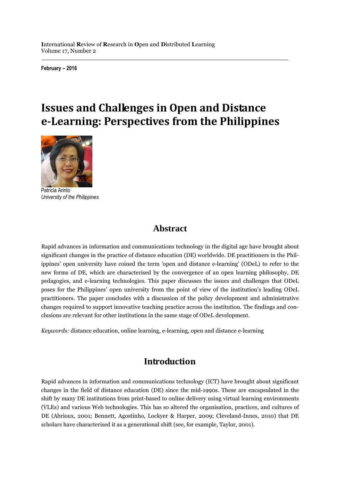**February – 2016**

# **Issues and Challenges in Open and Distance e-Learning: Perspectives from the Philippines**



Patricia Arinto *University of the Philippines*

## **Abstract**

Rapid advances in information and communications technology in the digital age have brought about significant changes in the practice of distance education (DE) worldwide. DE practitioners in the Philippines' open university have coined the term 'open and distance e-learning' (ODeL) to refer to the new forms of DE, which are characterised by the convergence of an open learning philosophy, DE pedagogies, and e-learning technologies. This paper discusses the issues and challenges that ODeL poses for the Philippines' open university from the point of view of the institution's leading ODeL practitioners. The paper concludes with a discussion of the policy development and administrative changes required to support innovative teaching practice across the institution. The findings and conclusions are relevant for other institutions in the same stage of ODeL development.

*Keywords:* distance education, online learning, e-learning, open and distance e-learning

# **Introduction**

Rapid advances in information and communications technology (ICT) have brought about significant changes in the field of distance education (DE) since the mid-1990s. These are encapsulated in the shift by many DE institutions from print-based to online delivery using virtual learning environments (VLEs) and various Web technologies. This has so altered the organisation, practices, and cultures of DE (Abrioux, 2001; Bennett, Agostinho, Lockyer & Harper, 2009; Cleveland-Innes, 2010) that DE scholars have characterised it as a generational shift (see, for example, Taylor, 2001).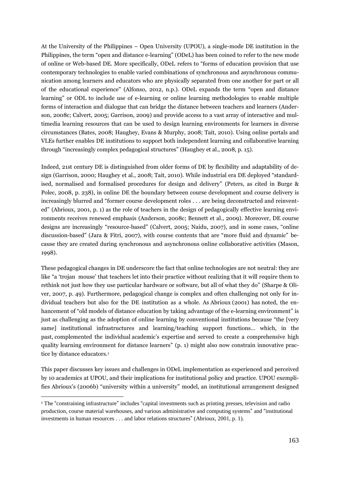At the University of the Philippines – Open University (UPOU), a single-mode DE institution in the Philippines, the term "open and distance e-learning" (ODeL) has been coined to refer to the new mode of online or Web-based DE. More specifically, ODeL refers to "forms of education provision that use contemporary technologies to enable varied combinations of synchronous and asynchronous communication among learners and educators who are physically separated from one another for part or all of the educational experience" (Alfonso, 2012, n.p.). ODeL expands the term "open and distance learning" or ODL to include use of e-learning or online learning methodologies to enable multiple forms of interaction and dialogue that can bridge the distance between teachers and learners (Anderson, 2008c; Calvert, 2005; Garrison, 2009) and provide access to a vast array of interactive and multimedia learning resources that can be used to design learning environments for learners in diverse circumstances (Bates, 2008; Haughey, Evans & Murphy, 2008; Tait, 2010). Using online portals and VLEs further enables DE institutions to support both independent learning and collaborative learning through "increasingly complex pedagogical structures" (Haughey et al., 2008, p. 15).

Indeed, 21st century DE is distinguished from older forms of DE by flexibility and adaptability of design (Garrison, 2000; Haughey et al., 2008; Tait, 2010). While industrial era DE deployed "standardised, normalised and formalised procedures for design and delivery" (Peters, as cited in Burge & Polec, 2008, p. 238), in online DE the boundary between course development and course delivery is increasingly blurred and "former course development roles . . . are being deconstructed and reinvented" (Abrioux, 2001, p. 1) as the role of teachers in the design of pedagogically effective learning environments receives renewed emphasis (Anderson, 2008c; Bennett et al., 2009). Moreover, DE course designs are increasingly "resource-based" (Calvert, 2005; Naidu, 2007), and in some cases, "online discussion-based" (Jara & Fitri, 2007), with course contents that are "more fluid and dynamic" because they are created during synchronous and asynchronous online collaborative activities (Mason, 1998).

These pedagogical changes in DE underscore the fact that online technologies are not neutral: they are like "a 'trojan mouse' that teachers let into their practice without realizing that it will require them to rethink not just how they use particular hardware or software, but all of what they do" (Sharpe & Oliver, 2007, p. 49). Furthermore, pedagogical change is complex and often challenging not only for individual teachers but also for the DE institution as a whole. As Abrioux (2001) has noted, the enhancement of "old models of distance education by taking advantage of the e-learning environment" is just as challenging as the adoption of online learning by conventional institutions because "the [very same] institutional infrastructures and learning/teaching support functions… which, in the past, complemented the individual academic's expertise and served to create a comprehensive high quality learning environment for distance learners" (p. 1) might also now constrain innovative practice by distance educators.<sup>1</sup>

This paper discusses key issues and challenges in ODeL implementation as experienced and perceived by 10 academics at UPOU, and their implications for institutional policy and practice. UPOU exemplifies Abrioux's (2006b) "university within a university" model, an institutional arrangement designed

<sup>1</sup> The "constraining infrastructure" includes "capital investments such as printing presses, television and radio production, course material warehouses, and various administrative and computing systems" and "institutional investments in human resources . . . and labor relations structures" (Abrioux, 2001, p. 1).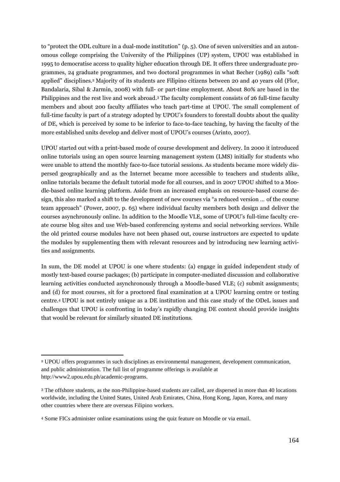to "protect the ODL culture in a dual-mode institution" (p. 5). One of seven universities and an autonomous college comprising the University of the Philippines (UP) system, UPOU was established in 1995 to democratise access to quality higher education through DE. It offers three undergraduate programmes, 24 graduate programmes, and two doctoral programmes in what Becher (1989) calls "soft applied" disciplines.<sup>2</sup> Majority of its students are Filipino citizens between 20 and 40 years old (Flor, Bandalaria, Sibal & Jarmin, 2008) with full- or part-time employment. About 80% are based in the Philippines and the rest live and work abroad.<sup>3</sup> The faculty complement consists of 26 full-time faculty members and about 200 faculty affiliates who teach part-time at UPOU. The small complement of full-time faculty is part of a strategy adopted by UPOU's founders to forestall doubts about the quality of DE, which is perceived by some to be inferior to face-to-face teaching, by having the faculty of the more established units develop and deliver most of UPOU's courses (Arinto, 2007).

UPOU started out with a print-based mode of course development and delivery. In 2000 it introduced online tutorials using an open source learning management system (LMS) initially for students who were unable to attend the monthly face-to-face tutorial sessions. As students became more widely dispersed geographically and as the Internet became more accessible to teachers and students alike, online tutorials became the default tutorial mode for all courses, and in 2007 UPOU shifted to a Moodle-based online learning platform. Aside from an increased emphasis on resource-based course design, this also marked a shift to the development of new courses via "a reduced version … of the course team approach" (Power, 2007, p. 65) where individual faculty members both design and deliver the courses asynchronously online. In addition to the Moodle VLE, some of UPOU's full-time faculty create course blog sites and use Web-based conferencing systems and social networking services. While the old printed course modules have not been phased out, course instructors are expected to update the modules by supplementing them with relevant resources and by introducing new learning activities and assignments.

In sum, the DE model at UPOU is one where students: (a) engage in guided independent study of mostly text-based course packages; (b) participate in computer-mediated discussion and collaborative learning activities conducted asynchronously through a Moodle-based VLE; (c) submit assignments; and (d) for most courses, sit for a proctored final examination at a UPOU learning centre or testing centre.<sup>4</sup> UPOU is not entirely unique as a DE institution and this case study of the ODeL issues and challenges that UPOU is confronting in today's rapidly changing DE context should provide insights that would be relevant for similarly situated DE institutions.

<sup>2</sup> UPOU offers programmes in such disciplines as environmental management, development communication, and public administration. The full list of programme offerings is available at [http://www2.upou.edu.ph/academic-programs.](http://www2.upou.edu.ph/academic-programs)

<sup>3</sup> The offshore students, as the non-Philippine-based students are called, are dispersed in more than 40 locations worldwide, including the United States, United Arab Emirates, China, Hong Kong, Japan, Korea, and many other countries where there are overseas Filipino workers.

<sup>4</sup> Some FICs administer online examinations using the quiz feature on Moodle or via email.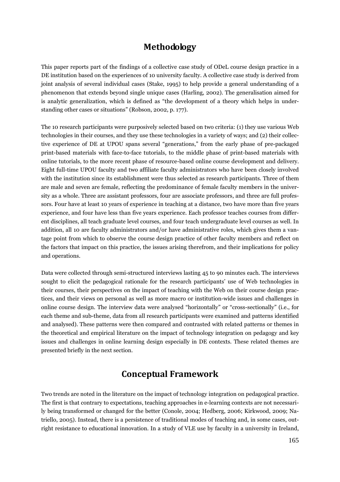#### **Methodology**

This paper reports part of the findings of a collective case study of ODeL course design practice in a DE institution based on the experiences of 10 university faculty. A collective case study is derived from joint analysis of several individual cases (Stake, 1995) to help provide a general understanding of a phenomenon that extends beyond single unique cases (Harling, 2002). The generalisation aimed for is analytic generalization, which is defined as "the development of a theory which helps in understanding other cases or situations" (Robson, 2002, p. 177).

The 10 research participants were purposively selected based on two criteria: (1) they use various Web technologies in their courses, and they use these technologies in a variety of ways; and (2) their collective experience of DE at UPOU spans several "generations," from the early phase of pre-packaged print-based materials with face-to-face tutorials, to the middle phase of print-based materials with online tutorials, to the more recent phase of resource-based online course development and delivery. Eight full-time UPOU faculty and two affiliate faculty administrators who have been closely involved with the institution since its establishment were thus selected as research participants. Three of them are male and seven are female, reflecting the predominance of female faculty members in the university as a whole. Three are assistant professors, four are associate professors, and three are full professors. Four have at least 10 years of experience in teaching at a distance, two have more than five years experience, and four have less than five years experience. Each professor teaches courses from different disciplines, all teach graduate level courses, and four teach undergraduate level courses as well. In addition, all 10 are faculty administrators and/or have administrative roles, which gives them a vantage point from which to observe the course design practice of other faculty members and reflect on the factors that impact on this practice, the issues arising therefrom, and their implications for policy and operations.

Data were collected through semi-structured interviews lasting 45 to 90 minutes each. The interviews sought to elicit the pedagogical rationale for the research participants' use of Web technologies in their courses, their perspectives on the impact of teaching with the Web on their course design practices, and their views on personal as well as more macro or institution-wide issues and challenges in online course design. The interview data were analysed "horizontally" or "cross-sectionally" (i.e., for each theme and sub-theme, data from all research participants were examined and patterns identified and analysed). These patterns were then compared and contrasted with related patterns or themes in the theoretical and empirical literature on the impact of technology integration on pedagogy and key issues and challenges in online learning design especially in DE contexts. These related themes are presented briefly in the next section.

### **Conceptual Framework**

Two trends are noted in the literature on the impact of technology integration on pedagogical practice. The first is that contrary to expectations, teaching approaches in e-learning contexts are not necessarily being transformed or changed for the better (Conole, 2004; Hedberg, 2006; Kirkwood, 2009; Natriello, 2005). Instead, there is a persistence of traditional modes of teaching and, in some cases, outright resistance to educational innovation. In a study of VLE use by faculty in a university in Ireland,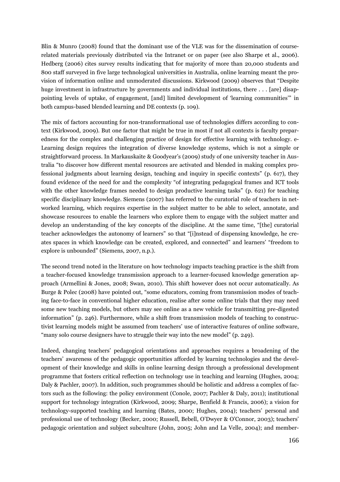Blin & Munro (2008) found that the dominant use of the VLE was for the dissemination of courserelated materials previously distributed via the Intranet or on paper (see also Sharpe et al., 2006). Hedberg (2006) cites survey results indicating that for majority of more than 20,000 students and 800 staff surveyed in five large technological universities in Australia, online learning meant the provision of information online and unmoderated discussions. Kirkwood (2009) observes that "Despite huge investment in infrastructure by governments and individual institutions, there . . . [are] disappointing levels of uptake, of engagement, [and] limited development of 'learning communities'" in both campus-based blended learning and DE contexts (p. 109).

The mix of factors accounting for non-transformational use of technologies differs according to context (Kirkwood, 2009). But one factor that might be true in most if not all contexts is faculty preparedness for the complex and challenging practice of design for effective learning with technology. e-Learning design requires the integration of diverse knowledge systems, which is not a simple or straightforward process. In Markauskaite & Goodyear's (2009) study of one university teacher in Australia "to discover how different mental resources are activated and blended in making complex professional judgments about learning design, teaching and inquiry in specific contexts" (p. 617), they found evidence of the need for and the complexity "of integrating pedagogical frames and ICT tools with the other knowledge frames needed to design productive learning tasks" (p. 621) for teaching specific disciplinary knowledge. Siemens (2007) has referred to the curatorial role of teachers in networked learning, which requires expertise in the subject matter to be able to select, annotate, and showcase resources to enable the learners who explore them to engage with the subject matter and develop an understanding of the key concepts of the discipline. At the same time, "[the] curatorial teacher acknowledges the autonomy of learners" so that "[i]nstead of dispensing knowledge, he creates spaces in which knowledge can be created, explored, and connected" and learners' "freedom to explore is unbounded" (Siemens, 2007, n.p.).

The second trend noted in the literature on how technology impacts teaching practice is the shift from a teacher-focused knowledge transmission approach to a learner-focused knowledge generation approach (Armellini & Jones, 2008; Swan, 2010). This shift however does not occur automatically. As Burge & Polec (2008) have pointed out, "some educators, coming from transmission modes of teaching face-to-face in conventional higher education, realise after some online trials that they may need some new teaching models, but others may see online as a new vehicle for transmitting pre-digested information" (p. 246). Furthermore, while a shift from transmission models of teaching to constructivist learning models might be assumed from teachers' use of interactive features of online software, "many solo course designers have to struggle their way into the new model" (p. 249).

Indeed, changing teachers' pedagogical orientations and approaches requires a broadening of the teachers' awareness of the pedagogic opportunities afforded by learning technologies and the development of their knowledge and skills in online learning design through a professional development programme that fosters critical reflection on technology use in teaching and learning (Hughes, 2004; Daly & Pachler, 2007). In addition, such programmes should be holistic and address a complex of factors such as the following: the policy environment (Conole, 2007; Pachler & Daly, 2011); institutional support for technology integration (Kirkwood, 2009; Sharpe, Benfield & Francis, 2006); a vision for technology-supported teaching and learning (Bates, 2000; Hughes, 2004); teachers' personal and professional use of technology (Becker, 2000; Russell, Bebell, O'Dwyer & O'Connor, 2003); teachers' pedagogic orientation and subject subculture (John, 2005; John and La Velle, 2004); and member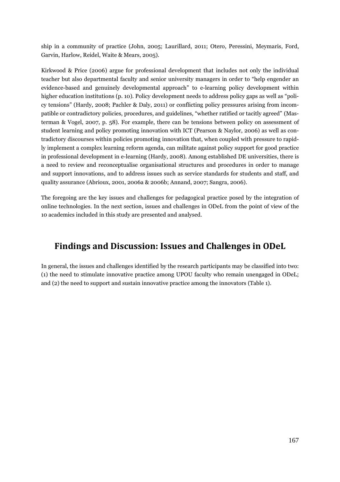ship in a community of practice (John, 2005; Laurillard, 2011; Otero, Peressini, Meymaris, Ford, Garvin, Harlow, Reidel, Waite & Mears, 2005).

Kirkwood & Price (2006) argue for professional development that includes not only the individual teacher but also departmental faculty and senior university managers in order to "help engender an evidence-based and genuinely developmental approach" to e-learning policy development within higher education institutions (p. 10). Policy development needs to address policy gaps as well as "policy tensions" (Hardy, 2008; Pachler & Daly, 2011) or conflicting policy pressures arising from incompatible or contradictory policies, procedures, and guidelines, "whether ratified or tacitly agreed" (Masterman & Vogel, 2007, p. 58). For example, there can be tensions between policy on assessment of student learning and policy promoting innovation with ICT (Pearson & Naylor, 2006) as well as contradictory discourses within policies promoting innovation that, when coupled with pressure to rapidly implement a complex learning reform agenda, can militate against policy support for good practice in professional development in e-learning (Hardy, 2008). Among established DE universities, there is a need to review and reconceptualise organisational structures and procedures in order to manage and support innovations, and to address issues such as service standards for students and staff, and quality assurance (Abrioux, 2001, 2006a & 2006b; Annand, 2007; Sangra, 2006).

The foregoing are the key issues and challenges for pedagogical practice posed by the integration of online technologies. In the next section, issues and challenges in ODeL from the point of view of the 10 academics included in this study are presented and analysed.

### **Findings and Discussion: Issues and Challenges in ODeL**

In general, the issues and challenges identified by the research participants may be classified into two: (1) the need to stimulate innovative practice among UPOU faculty who remain unengaged in ODeL; and (2) the need to support and sustain innovative practice among the innovators (Table 1).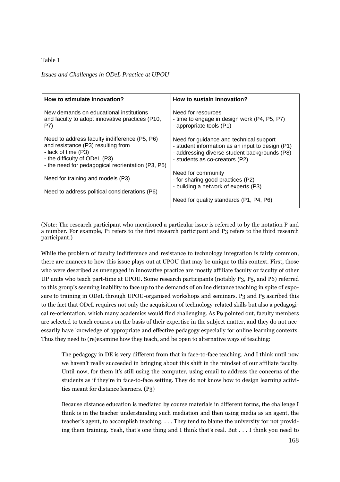#### Table 1

#### *Issues and Challenges in ODeL Practice at UPOU*

| How to stimulate innovation?                                                                                                                                                                     | How to sustain innovation?                                                                                                                                                     |
|--------------------------------------------------------------------------------------------------------------------------------------------------------------------------------------------------|--------------------------------------------------------------------------------------------------------------------------------------------------------------------------------|
| New demands on educational institutions<br>and faculty to adopt innovative practices (P10,<br>P7)                                                                                                | Need for resources<br>- time to engage in design work (P4, P5, P7)<br>- appropriate tools (P1)                                                                                 |
| Need to address faculty indifference (P5, P6)<br>and resistance (P3) resulting from<br>- lack of time (P3)<br>- the difficulty of ODeL (P3)<br>- the need for pedagogical reorientation (P3, P5) | Need for guidance and technical support<br>- student information as an input to design (P1)<br>- addressing diverse student backgrounds (P8)<br>- students as co-creators (P2) |
| Need for training and models (P3)                                                                                                                                                                | Need for community<br>- for sharing good practices (P2)<br>- building a network of experts (P3)                                                                                |
| Need to address political considerations (P6)                                                                                                                                                    | Need for quality standards (P1, P4, P6)                                                                                                                                        |

(Note: The research participant who mentioned a particular issue is referred to by the notation P and a number. For example, P1 refers to the first research participant and P3 refers to the third research participant.)

While the problem of faculty indifference and resistance to technology integration is fairly common, there are nuances to how this issue plays out at UPOU that may be unique to this context. First, those who were described as unengaged in innovative practice are mostly affiliate faculty or faculty of other UP units who teach part-time at UPOU. Some research participants (notably P3, P5, and P6) referred to this group's seeming inability to face up to the demands of online distance teaching in spite of exposure to training in ODeL through UPOU-organised workshops and seminars. P3 and P5 ascribed this to the fact that ODeL requires not only the acquisition of technology-related skills but also a pedagogical re-orientation, which many academics would find challenging. As P9 pointed out, faculty members are selected to teach courses on the basis of their expertise in the subject matter, and they do not necessarily have knowledge of appropriate and effective pedagogy especially for online learning contexts. Thus they need to (re)examine how they teach, and be open to alternative ways of teaching:

The pedagogy in DE is very different from that in face-to-face teaching. And I think until now we haven't really succeeded in bringing about this shift in the mindset of our affiliate faculty. Until now, for them it's still using the computer, using email to address the concerns of the students as if they're in face-to-face setting. They do not know how to design learning activities meant for distance learners. (P3)

Because distance education is mediated by course materials in different forms, the challenge I think is in the teacher understanding such mediation and then using media as an agent, the teacher's agent, to accomplish teaching. . . . They tend to blame the university for not providing them training. Yeah, that's one thing and I think that's real. But . . . I think you need to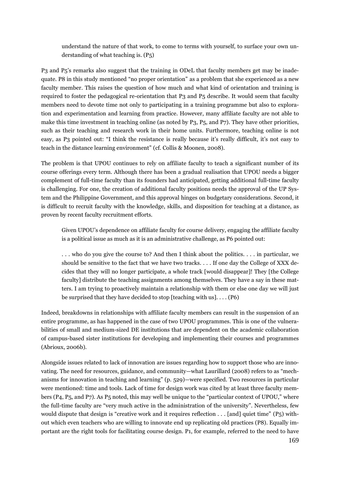understand the nature of that work, to come to terms with yourself, to surface your own understanding of what teaching is. (P5)

P3 and P5's remarks also suggest that the training in ODeL that faculty members get may be inadequate. P8 in this study mentioned "no proper orientation" as a problem that she experienced as a new faculty member. This raises the question of how much and what kind of orientation and training is required to foster the pedagogical re-orientation that P3 and P5 describe. It would seem that faculty members need to devote time not only to participating in a training programme but also to exploration and experimentation and learning from practice. However, many affiliate faculty are not able to make this time investment in teaching online (as noted by P3, P5, and P7). They have other priorities, such as their teaching and research work in their home units. Furthermore, teaching online is not easy, as P3 pointed out: "I think the resistance is really because it's really difficult, it's not easy to teach in the distance learning environment" (cf. Collis & Moonen, 2008).

The problem is that UPOU continues to rely on affiliate faculty to teach a significant number of its course offerings every term. Although there has been a gradual realisation that UPOU needs a bigger complement of full-time faculty than its founders had anticipated, getting additional full-time faculty is challenging. For one, the creation of additional faculty positions needs the approval of the UP System and the Philippine Government, and this approval hinges on budgetary considerations. Second, it is difficult to recruit faculty with the knowledge, skills, and disposition for teaching at a distance, as proven by recent faculty recruitment efforts.

Given UPOU's dependence on affiliate faculty for course delivery, engaging the affiliate faculty is a political issue as much as it is an administrative challenge, as P6 pointed out:

. . . who do you give the course to? And then I think about the politics. . . . in particular, we should be sensitive to the fact that we have two tracks. . . . If one day the College of XXX decides that they will no longer participate, a whole track [would disappear]! They [the College faculty] distribute the teaching assignments among themselves. They have a say in these matters. I am trying to proactively maintain a relationship with them or else one day we will just be surprised that they have decided to stop [teaching with us]. . . . (P6)

Indeed, breakdowns in relationships with affiliate faculty members can result in the suspension of an entire programme, as has happened in the case of two UPOU programmes. This is one of the vulnerabilities of small and medium-sized DE institutions that are dependent on the academic collaboration of campus-based sister institutions for developing and implementing their courses and programmes (Abrioux, 2006b).

Alongside issues related to lack of innovation are issues regarding how to support those who are innovating. The need for resources, guidance, and community—what Laurillard (2008) refers to as "mechanisms for innovation in teaching and learning" (p. 529)—were specified. Two resources in particular were mentioned: time and tools. Lack of time for design work was cited by at least three faculty members (P4, P5, and P7). As P5 noted, this may well be unique to the "particular context of UPOU," where the full-time faculty are "very much active in the administration of the university". Nevertheless, few would dispute that design is "creative work and it requires reflection  $\dots$  [and] quiet time" (P5) without which even teachers who are willing to innovate end up replicating old practices (P8). Equally important are the right tools for facilitating course design. P1, for example, referred to the need to have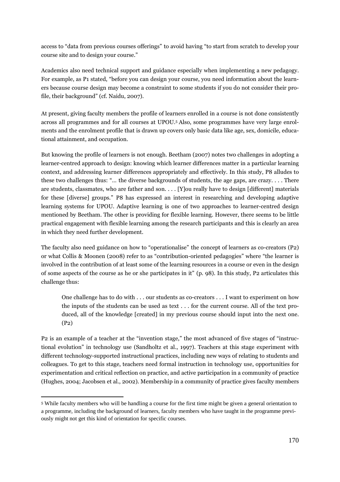access to "data from previous courses offerings" to avoid having "to start from scratch to develop your course site and to design your course."

Academics also need technical support and guidance especially when implementing a new pedagogy. For example, as P1 stated, "before you can design your course, you need information about the learners because course design may become a constraint to some students if you do not consider their profile, their background" (cf. Naidu, 2007).

At present, giving faculty members the profile of learners enrolled in a course is not done consistently across all programmes and for all courses at UPOU.<sup>5</sup> Also, some programmes have very large enrolments and the enrolment profile that is drawn up covers only basic data like age, sex, domicile, educational attainment, and occupation.

But knowing the profile of learners is not enough. Beetham (2007) notes two challenges in adopting a learner-centred approach to design: knowing which learner differences matter in a particular learning context, and addressing learner differences appropriately and effectively. In this study, P8 alludes to these two challenges thus: "… the diverse backgrounds of students, the age gaps, are crazy. . . . There are students, classmates, who are father and son. . . . [Y]ou really have to design [different] materials for these [diverse] groups." P8 has expressed an interest in researching and developing adaptive learning systems for UPOU. Adaptive learning is one of two approaches to learner-centred design mentioned by Beetham. The other is providing for flexible learning. However, there seems to be little practical engagement with flexible learning among the research participants and this is clearly an area in which they need further development.

The faculty also need guidance on how to "operationalise" the concept of learners as co-creators (P2) or what Collis & Moonen (2008) refer to as "contribution-oriented pedagogies" where "the learner is involved in the contribution of at least some of the learning resources in a course or even in the design of some aspects of the course as he or she participates in it" (p. 98). In this study, P2 articulates this challenge thus:

One challenge has to do with . . . our students as co-creators . . . I want to experiment on how the inputs of the students can be used as text . . . for the current course. All of the text produced, all of the knowledge [created] in my previous course should input into the next one. (P2)

P2 is an example of a teacher at the "invention stage," the most advanced of five stages of "instructional evolution" in technology use (Sandholtz et al., 1997). Teachers at this stage experiment with different technology-supported instructional practices, including new ways of relating to students and colleagues. To get to this stage, teachers need formal instruction in technology use, opportunities for experimentation and critical reflection on practice, and active participation in a community of practice (Hughes, 2004; Jacobsen et al., 2002). Membership in a community of practice gives faculty members

<sup>5</sup> While faculty members who will be handling a course for the first time might be given a general orientation to a programme, including the background of learners, faculty members who have taught in the programme previously might not get this kind of orientation for specific courses.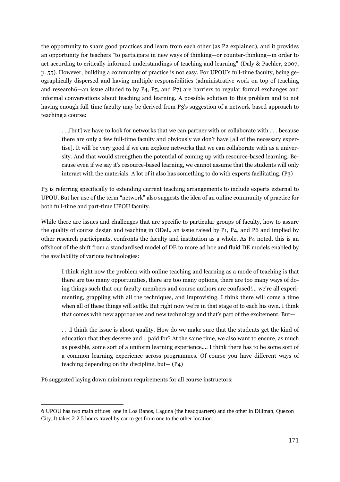the opportunity to share good practices and learn from each other (as P2 explained), and it provides an opportunity for teachers "to participate in new ways of thinking—or counter-thinking—in order to act according to critically informed understandings of teaching and learning" (Daly & Pachler, 2007, p. 55). However, building a community of practice is not easy. For UPOU's full-time faculty, being geographically dispersed and having multiple responsibilities (administrative work on top of teaching and research6—an issue alluded to by P4, P5, and P7) are barriers to regular formal exchanges and informal conversations about teaching and learning. A possible solution to this problem and to not having enough full-time faculty may be derived from P3's suggestion of a network-based approach to teaching a course:

. . .[but] we have to look for networks that we can partner with or collaborate with . . . because there are only a few full-time faculty and obviously we don't have [all of the necessary expertise]. It will be very good if we can explore networks that we can collaborate with as a university. And that would strengthen the potential of coming up with resource-based learning. Because even if we say it's resource-based learning, we cannot assume that the students will only interact with the materials. A lot of it also has something to do with experts facilitating. (P3)

P3 is referring specifically to extending current teaching arrangements to include experts external to UPOU. But her use of the term "network" also suggests the idea of an online community of practice for both full-time and part-time UPOU faculty.

While there are issues and challenges that are specific to particular groups of faculty, how to assure the quality of course design and teaching in ODeL, an issue raised by P1, P4, and P6 and implied by other research participants, confronts the faculty and institution as a whole. As P4 noted, this is an offshoot of the shift from a standardised model of DE to more ad hoc and fluid DE models enabled by the availability of various technologies:

I think right now the problem with online teaching and learning as a mode of teaching is that there are too many opportunities, there are too many options, there are too many ways of doing things such that our faculty members and course authors are confused!... we're all experimenting, grappling with all the techniques, and improvising. I think there will come a time when all of these things will settle. But right now we're in that stage of to each his own. I think that comes with new approaches and new technology and that's part of the excitement. But—

. . .I think the issue is about quality. How do we make sure that the students get the kind of education that they deserve and... paid for? At the same time, we also want to ensure, as much as possible, some sort of a uniform learning experience.... I think there has to be some sort of a common learning experience across programmes. Of course you have different ways of teaching depending on the discipline, but— (P4)

P6 suggested laying down minimum requirements for all course instructors:

<sup>6</sup> UPOU has two main offices: one in Los Banos, Laguna (the headquarters) and the other in Diliman, Quezon City. It takes 2-2.5 hours travel by car to get from one to the other location.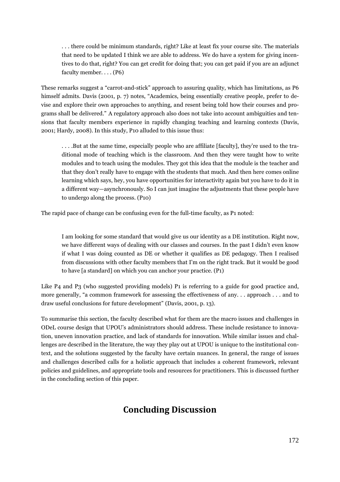. . . there could be minimum standards, right? Like at least fix your course site. The materials that need to be updated I think we are able to address. We do have a system for giving incentives to do that, right? You can get credit for doing that; you can get paid if you are an adjunct faculty member. . . . (P6)

These remarks suggest a "carrot-and-stick" approach to assuring quality, which has limitations, as P6 himself admits. Davis (2001, p. 7) notes, "Academics, being essentially creative people, prefer to devise and explore their own approaches to anything, and resent being told how their courses and programs shall be delivered." A regulatory approach also does not take into account ambiguities and tensions that faculty members experience in rapidly changing teaching and learning contexts (Davis, 2001; Hardy, 2008). In this study, P10 alluded to this issue thus:

. . . .But at the same time, especially people who are affiliate [faculty], they're used to the traditional mode of teaching which is the classroom. And then they were taught how to write modules and to teach using the modules. They got this idea that the module is the teacher and that they don't really have to engage with the students that much. And then here comes online learning which says, hey, you have opportunities for interactivity again but you have to do it in a different way—asynchronously. So I can just imagine the adjustments that these people have to undergo along the process. (P10)

The rapid pace of change can be confusing even for the full-time faculty, as P1 noted:

I am looking for some standard that would give us our identity as a DE institution. Right now, we have different ways of dealing with our classes and courses. In the past I didn't even know if what I was doing counted as DE or whether it qualifies as DE pedagogy. Then I realised from discussions with other faculty members that I'm on the right track. But it would be good to have [a standard] on which you can anchor your practice. (P1)

Like P4 and P3 (who suggested providing models) P1 is referring to a guide for good practice and, more generally, "a common framework for assessing the effectiveness of any. . . approach . . . and to draw useful conclusions for future development" (Davis, 2001, p. 13).

To summarise this section, the faculty described what for them are the macro issues and challenges in ODeL course design that UPOU's administrators should address. These include resistance to innovation, uneven innovation practice, and lack of standards for innovation. While similar issues and challenges are described in the literature, the way they play out at UPOU is unique to the institutional context, and the solutions suggested by the faculty have certain nuances. In general, the range of issues and challenges described calls for a holistic approach that includes a coherent framework, relevant policies and guidelines, and appropriate tools and resources for practitioners. This is discussed further in the concluding section of this paper.

### **Concluding Discussion**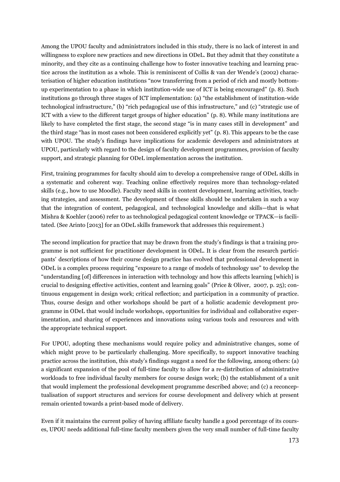Among the UPOU faculty and administrators included in this study, there is no lack of interest in and willingness to explore new practices and new directions in ODeL. But they admit that they constitute a minority, and they cite as a continuing challenge how to foster innovative teaching and learning practice across the institution as a whole. This is reminiscent of Collis & van der Wende's (2002) characterisation of higher education institutions "now transferring from a period of rich and mostly bottomup experimentation to a phase in which institution-wide use of ICT is being encouraged" (p. 8). Such institutions go through three stages of ICT implementation: (a) "the establishment of institution-wide technological infrastructure," (b) "rich pedagogical use of this infrastructure," and (c) "strategic use of ICT with a view to the different target groups of higher education" (p. 8). While many institutions are likely to have completed the first stage, the second stage "is in many cases still in development" and the third stage "has in most cases not been considered explicitly yet" (p. 8). This appears to be the case with UPOU. The study's findings have implications for academic developers and administrators at UPOU, particularly with regard to the design of faculty development programmes, provision of faculty support, and strategic planning for ODeL implementation across the institution.

First, training programmes for faculty should aim to develop a comprehensive range of ODeL skills in a systematic and coherent way. Teaching online effectively requires more than technology-related skills (e.g., how to use Moodle). Faculty need skills in content development, learning activities, teaching strategies, and assessment. The development of these skills should be undertaken in such a way that the integration of content, pedagogical, and technological knowledge and skills—that is what Mishra & Koehler (2006) refer to as technological pedagogical content knowledge or TPACK—is facilitated. (See Arinto [2013] for an ODeL skills framework that addresses this requirement.)

The second implication for practice that may be drawn from the study's findings is that a training programme is not sufficient for practitioner development in ODeL. It is clear from the research participants' descriptions of how their course design practice has evolved that professional development in ODeL is a complex process requiring "exposure to a range of models of technology use" to develop the "understanding [of] differences in interaction with technology and how this affects learning [which] is crucial to designing effective activities, content and learning goals" (Price & Oliver, 2007, p. 25); continuous engagement in design work; critical reflection; and participation in a community of practice. Thus, course design and other workshops should be part of a holistic academic development programme in ODeL that would include workshops, opportunities for individual and collaborative experimentation, and sharing of experiences and innovations using various tools and resources and with the appropriate technical support.

For UPOU, adopting these mechanisms would require policy and administrative changes, some of which might prove to be particularly challenging. More specifically, to support innovative teaching practice across the institution, this study's findings suggest a need for the following, among others: (a) a significant expansion of the pool of full-time faculty to allow for a re-distribution of administrative workloads to free individual faculty members for course design work; (b) the establishment of a unit that would implement the professional development programme described above; and (c) a reconceptualisation of support structures and services for course development and delivery which at present remain oriented towards a print-based mode of delivery.

Even if it maintains the current policy of having affiliate faculty handle a good percentage of its courses, UPOU needs additional full-time faculty members given the very small number of full-time faculty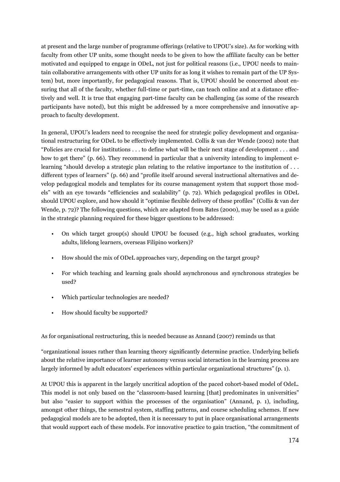at present and the large number of programme offerings (relative to UPOU's size). As for working with faculty from other UP units, some thought needs to be given to how the affiliate faculty can be better motivated and equipped to engage in ODeL, not just for political reasons (i.e., UPOU needs to maintain collaborative arrangements with other UP units for as long it wishes to remain part of the UP System) but, more importantly, for pedagogical reasons. That is, UPOU should be concerned about ensuring that all of the faculty, whether full-time or part-time, can teach online and at a distance effectively and well. It is true that engaging part-time faculty can be challenging (as some of the research participants have noted), but this might be addressed by a more comprehensive and innovative approach to faculty development.

In general, UPOU's leaders need to recognise the need for strategic policy development and organisational restructuring for ODeL to be effectively implemented. Collis & van der Wende (2002) note that "Policies are crucial for institutions . . . to define what will be their next stage of development . . . and how to get there" (p. 66). They recommend in particular that a university intending to implement elearning "should develop a strategic plan relating to the relative importance to the institution of . . . different types of learners" (p. 66) and "profile itself around several instructional alternatives and develop pedagogical models and templates for its course management system that support those models" with an eye towards "efficiencies and scalability" (p. 72). Which pedagogical profiles in ODeL should UPOU explore, and how should it "optimise flexible delivery of these profiles" (Collis & van der Wende, p. 72)? The following questions, which are adapted from Bates (2000), may be used as a guide in the strategic planning required for these bigger questions to be addressed:

- On which target group(s) should UPOU be focused (e.g., high school graduates, working adults, lifelong learners, overseas Filipino workers)?
- How should the mix of ODeL approaches vary, depending on the target group?
- For which teaching and learning goals should asynchronous and synchronous strategies be used?
- Which particular technologies are needed?
- How should faculty be supported?

As for organisational restructuring, this is needed because as Annand (2007) reminds us that

"organizational issues rather than learning theory significantly determine practice. Underlying beliefs about the relative importance of learner autonomy versus social interaction in the learning process are largely informed by adult educators' experiences within particular organizational structures" (p. 1).

At UPOU this is apparent in the largely uncritical adoption of the paced cohort-based model of OdeL. This model is not only based on the "classroom-based learning [that] predominates in universities" but also "easier to support within the processes of the organisation" (Annand, p. 1), including, amongst other things, the semestral system, staffing patterns, and course scheduling schemes. If new pedagogical models are to be adopted, then it is necessary to put in place organisational arrangements that would support each of these models. For innovative practice to gain traction, "the commitment of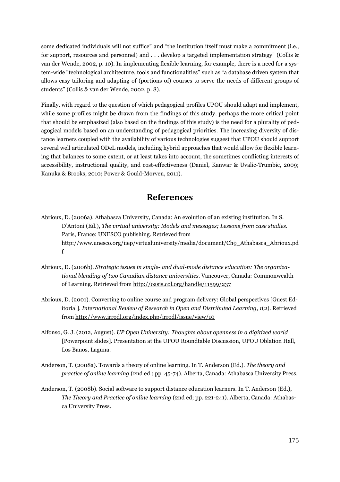some dedicated individuals will not suffice" and "the institution itself must make a commitment (i.e., for support, resources and personnel) and . . . develop a targeted implementation strategy" (Collis & van der Wende, 2002, p. 10). In implementing flexible learning, for example, there is a need for a system-wide "technological architecture, tools and functionalities" such as "a database driven system that allows easy tailoring and adapting of (portions of) courses to serve the needs of different groups of students" (Collis & van der Wende, 2002, p. 8).

Finally, with regard to the question of which pedagogical profiles UPOU should adapt and implement, while some profiles might be drawn from the findings of this study, perhaps the more critical point that should be emphasized (also based on the findings of this study) is the need for a plurality of pedagogical models based on an understanding of pedagogical priorities. The increasing diversity of distance learners coupled with the availability of various technologies suggest that UPOU should support several well articulated ODeL models, including hybrid approaches that would allow for flexible learning that balances to some extent, or at least takes into account, the sometimes conflicting interests of accessibility, instructional quality, and cost-effectiveness (Daniel, Kanwar & Uvalic-Trumbic, 2009; Kanuka & Brooks, 2010; Power & Gould-Morven, 2011).

#### **References**

- Abrioux, D. (2006a). Athabasca University, Canada: An evolution of an existing institution. In S. D'Antoni (Ed.), *The virtual university: Models and messages; Lessons from case studies*. Paris, France: UNESCO publishing. Retrieved from [http://www.unesco.org/iiep/virtualuniversity/media/document/Ch9\\_Athabasca\\_Abrioux.pd](http://www.unesco.org/iiep/virtualuniversity/media/document/ch9_athabasca_abrioux.pdf) [f](http://www.unesco.org/iiep/virtualuniversity/media/document/ch9_athabasca_abrioux.pdf)
- Abrioux, D. (2006b). *Strategic issues in single- and dual-mode distance education: The organizational blending of two Canadian distance universities*. Vancouver, Canada: Commonwealth of Learning. Retrieved from <http://oasis.col.org/handle/11599/237>
- Abrioux, D. (2001). Converting to online course and program delivery: Global perspectives [Guest Editorial]. *International Review of Research in Open and Distributed Learning*, *1*(2). Retrieved from <http://www.irrodl.org/index.php/irrodl/issue/view/10>
- Alfonso, G. J. (2012, August). *UP Open University: Thoughts about openness in a digitized world* [Powerpoint slides]. Presentation at the UPOU Roundtable Discussion, UPOU Oblation Hall, Los Banos, Laguna.
- Anderson, T. (2008a). Towards a theory of online learning. In T. Anderson (Ed.). *The theory and practice of online learning* (2nd ed.; pp. 45-74). Alberta, Canada: Athabasca University Press.
- Anderson, T. (2008b). Social software to support distance education learners. In T. Anderson (Ed.), *The Theory and Practice of online learning* (2nd ed; pp. 221-241). Alberta, Canada: Athabasca University Press.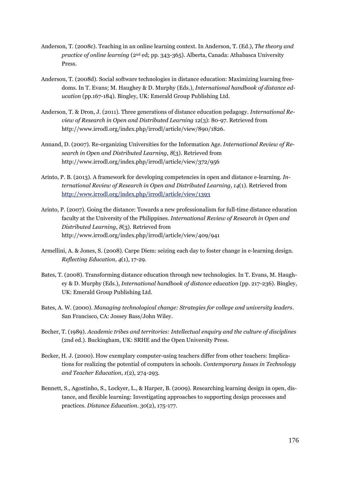- Anderson, T. (2008c). Teaching in an online learning context. In Anderson, T. (Ed.), *The theory and practice of online learning* (2nd ed; pp. 343-365). Alberta, Canada: Athabasca University Press.
- Anderson, T. (2008d). Social software technologies in distance education: Maximizing learning freedoms. In T. Evans; M. Haughey & D. Murphy (Eds.), *International handbook of distance education* (pp.167-184). Bingley, UK: Emerald Group Publishing Ltd.
- Anderson, T. & Dron, J. (2011). Three generations of distance education pedagogy. *International Review of Research in Open and Distributed Learning* 12(3): 80-97. Retrieved from [http://www.irrodl.org/index.php/irrodl/article/view/890/1826.](http://www.irrodl.org/index.php/irrodl/article/view/890/1826)
- Annand, D. (2007). Re-organizing Universities for the Information Age. *International Review of Research in Open and Distributed Learning*, *8*(3). Retrieved from <http://www.irrodl.org/index.php/irrodl/article/view/372/956>
- Arinto, P. B. (2013). A framework for developing competencies in open and distance e-learning. *International Review of Research in Open and Distributed Learning*, *14*(1). Retrieved from <http://www.irrodl.org/index.php/irrodl/article/view/1393>
- Arinto, P. (2007). Going the distance: Towards a new professionalism for full-time distance education faculty at the University of the Philippines. *International Review of Research in Open and Distributed Learning*, *8*(3). Retrieved from <http://www.irrodl.org/index.php/irrodl/article/view/409/941>
- Armellini, A. & Jones, S. (2008). Carpe Diem: seizing each day to foster change in e-learning design. *Reflecting Education*, *4*(1), 17-29.
- Bates, T. (2008). Transforming distance education through new technologies. In T. Evans, M. Haughey & D. Murphy (Eds.), *International handbook of distance education* (pp. 217-236). Bingley, UK: Emerald Group Publishing Ltd.
- Bates, A. W. (2000). *Managing technological change: Strategies for college and university leaders*. San Francisco, CA: Jossey Bass/John Wiley.
- Becher, T. (1989). *Academic tribes and territories: Intellectual enquiry and the culture of disciplines* (2nd ed.). Buckingham, UK: SRHE and the Open University Press.
- Becker, H. J. (2000). How exemplary computer-using teachers differ from other teachers: Implications for realizing the potential of computers in schools. *Contemporary Issues in Technology and Teacher Education*, *1*(2), 274-293.
- Bennett, S., Agostinho, S., Lockyer, L., & Harper, B. (2009). Researching learning design in open, distance, and flexible learning: Investigating approaches to supporting design processes and practices. *Distance Education*. *30*(2), 175-177.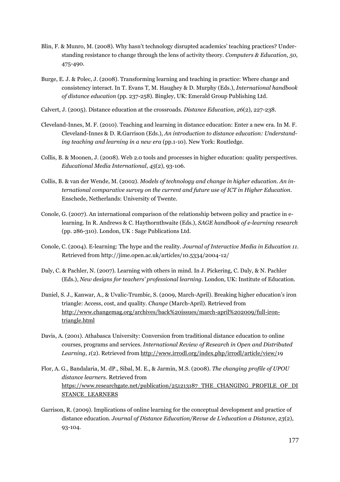- Blin, F. & Munro, M. (2008). Why hasn't technology disrupted academics' teaching practices? Understanding resistance to change through the lens of activity theory. *Computers & Education*, *50*, 475-490.
- Burge, E. J. & Polec, J. (2008). Transforming learning and teaching in practice: Where change and consistency interact. In T. Evans T, M. Haughey & D. Murphy (Eds.), *International handbook of distance education* (pp. 237-258). Bingley, UK: Emerald Group Publishing Ltd.
- Calvert, J. (2005). Distance education at the crossroads. *Distance Education*, *26*(2), 227-238.
- Cleveland-Innes, M. F. (2010). Teaching and learning in distance education: Enter a new era. In M. F. Cleveland-Innes & D. R.Garrison (Eds.), *An introduction to distance education: Understanding teaching and learning in a new era* (pp.1-10). New York: Routledge.
- Collis, B. & Moonen, J. (2008). Web 2.0 tools and processes in higher education: quality perspectives. *Educational Media International*, *45*(2), 93-106.
- Collis, B. & van der Wende, M. (2002). *Models of technology and change in higher education. An international comparative survey on the current and future use of ICT in Higher Education*. Enschede, Netherlands: University of Twente.
- Conole, G. (2007). An international comparison of the relationship between policy and practice in elearning. In R. Andrews & C. Haythornthwaite (Eds.), *SAGE handbook of e-learning research* (pp. 286-310). London, UK : Sage Publications Ltd.
- Conole, C. (2004). E-learning: The hype and the reality. *Journal of Interactive Media in Education 11*. Retrieved from http://jime.open.ac.uk/articles/10.5334/2004-12/
- Daly, C. & Pachler, N. (2007). Learning with others in mind. In J. Pickering, C. Daly, & N. Pachler (Eds.), *New designs for teachers' professional learning*. London, UK: Institute of Education.
- Daniel, S. J., Kanwar, A., & Uvalic-Trumbic, S. (2009, March-April). Breaking higher education's iron triangle: Access, cost, and quality. *Change* (March-April). Retrieved from [http://www.changemag.org/archives/back%20issues/march-april%202009/full-iron](http://www.changemag.org/archives/back%20issues/march-april%202009/full-iron-triangle.html)[triangle.html](http://www.changemag.org/archives/back%20issues/march-april%202009/full-iron-triangle.html)
- Davis, A. (2001). Athabasca University: Conversion from traditional distance education to online courses, programs and services. *International Review of Research in Open and Distributed Learning*, *1*(2). Retrieved from [http://www.irrodl.org/index.php/irrodl/article/view/1](http://www.irrodl.org/index.php/irrodl/article/view/19)9
- Flor, A. G., Bandalaria, M. dP., Sibal, M. E., & Jarmin, M.S. (2008). *The changing profile of UPOU distance learners*. Retrieved from [https://www.researchgate.net/publication/251213187\\_THE\\_CHANGING\\_PROFILE\\_OF\\_DI](https://www.researchgate.net/publication/251213187_THE_CHANGING_PROFILE_OF_DISTANCE_LEARNERS) [STANCE\\_LEARNERS](https://www.researchgate.net/publication/251213187_THE_CHANGING_PROFILE_OF_DISTANCE_LEARNERS)
- Garrison, R. (2009). Implications of online learning for the conceptual development and practice of distance education. *Journal of Distance Education/Revue de L'education a Distance*, *23*(2), 93-104.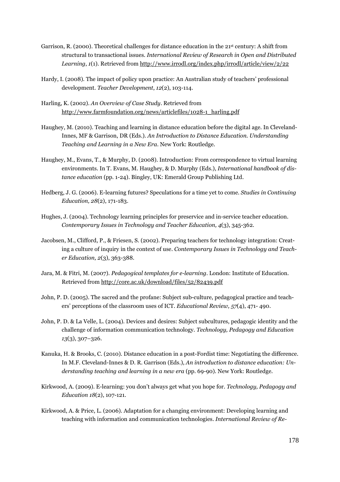- Garrison, R. (2000). Theoretical challenges for distance education in the  $21<sup>st</sup>$  century: A shift from structural to transactional issues. *International Review of Research in Open and Distributed Learning*, *1*(1). Retrieved from <http://www.irrodl.org/index.php/irrodl/article/view/2/22>
- Hardy, I. (2008). The impact of policy upon practice: An Australian study of teachers' professional development. *Teacher Development*, *12*(2), 103-114.
- Harling, K. (2002). *An Overview of Case Study*. Retrieved from [http://www.farmfoundation.org/news/articlefiles/1028-1\\_harling.pdf](http://www.farmfoundation.org/news/articlefiles/1028-1_harling.pdf)
- Haughey, M. (2010). Teaching and learning in distance education before the digital age. In Cleveland-Innes, MF & Garrison, DR (Eds.). *An Introduction to Distance Education. Understanding Teaching and Learning in a New Era*. New York: Routledge.
- Haughey, M., Evans, T., & Murphy, D. (2008). Introduction: From correspondence to virtual learning environments. In T. Evans, M. Haughey, & D. Murphy (Eds.), *International handbook of distance education* (pp. 1-24). Bingley, UK: Emerald Group Publishing Ltd.
- Hedberg, J. G. (2006). E-learning futures? Speculations for a time yet to come. *Studies in Continuing Education, 28*(2), 171-183.
- Hughes, J. (2004). Technology learning principles for preservice and in-service teacher education. *Contemporary Issues in Technology and Teacher Education, 4*(3), 345-362.
- Jacobsen, M., Clifford, P., & Friesen, S. (2002). Preparing teachers for technology integration: Creating a culture of inquiry in the context of use. *Contemporary Issues in Technology and Teacher Education, 2*(3), 363-388.
- Jara, M. & Fitri, M. (2007). *Pedagogical templates for e-learning*. London: Institute of Education. Retrieved from <http://core.ac.uk/download/files/52/82439.pdf>
- John, P. D. (2005). The sacred and the profane: Subject sub-culture, pedagogical practice and teachers' perceptions of the classroom uses of ICT. *Educational Review, 57*(4), 471- 490.
- John, P. D. & La Velle, L. (2004). Devices and desires: Subject subcultures, pedagogic identity and the challenge of information communication technology. *Technology, Pedagogy and Education 13*(3), 307–326.
- Kanuka, H. & Brooks, C. (2010). Distance education in a post-Fordist time: Negotiating the difference. In M.F. Cleveland-Innes & D. R. Garrison (Eds.), *An introduction to distance education: Understanding teaching and learning in a new era* (pp. 69-90). New York: Routledge.
- Kirkwood, A. (2009). E-learning: you don't always get what you hope for. *Technology, Pedagogy and Education 18*(2), 107-121.
- Kirkwood, A. & Price, L. (2006). Adaptation for a changing environment: Developing learning and teaching with information and communication technologies. *International Review of Re-*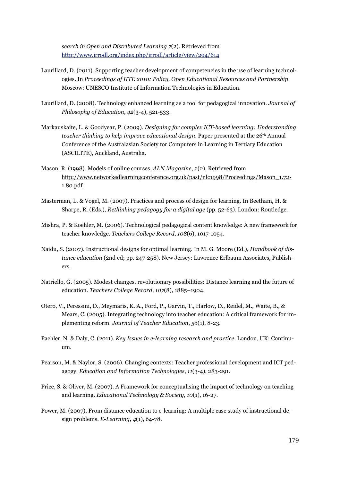*search in Open and Distributed Learning 7*(2). Retrieved from <http://www.irrodl.org/index.php/irrodl/article/view/294/614>

- Laurillard, D. (2011). Supporting teacher development of competencies in the use of learning technologies. In *Proceedings of IITE 2010: Policy, Open Educational Resources and Partnership*. Moscow: UNESCO Institute of Information Technologies in Education.
- Laurillard, D. (2008). Technology enhanced learning as a tool for pedagogical innovation. *Journal of Philosophy of Education*, *42*(3-4), 521-533.
- Markauskaite, L. & Goodyear, P. (2009). *Designing for complex ICT-based learning: Understanding teacher thinking to help improve educational design*. Paper presented at the 26th Annual Conference of the Australasian Society for Computers in Learning in Tertiary Education (ASCILITE), Auckland, Australia.
- Mason, R. (1998). Models of online courses. *ALN Magazine*, *2*(2). Retrieved from [http://www.networkedlearningconference.org.uk/past/nlc1998/Proceedings/Mason\\_1.72-](http://www.networkedlearningconference.org.uk/past/nlc1998/Proceedings/Mason_1.72-1.80.pdf) [1.80.pdf](http://www.networkedlearningconference.org.uk/past/nlc1998/Proceedings/Mason_1.72-1.80.pdf)
- Masterman, L. & Vogel, M. (2007). Practices and process of design for learning. In Beetham, H. & Sharpe, R. (Eds.), *Rethinking pedagogy for a digital age* (pp. 52-63). London: Routledge.
- Mishra, P. & Koehler, M. (2006). Technological pedagogical content knowledge: A new framework for teacher knowledge. *Teachers College Record*, *108*(6), 1017-1054.
- Naidu, S. (2007). Instructional designs for optimal learning. In M. G. Moore (Ed.), *Handbook of distance education* (2nd ed; pp. 247-258). New Jersey: Lawrence Erlbaum Associates, Publishers.
- Natriello, G. (2005). Modest changes, revolutionary possibilities: Distance learning and the future of education. *Teachers College Record*, *107*(8), 1885–1904.
- Otero, V., Peressini, D., Meymaris, K. A., Ford, P., Garvin, T., Harlow, D., Reidel, M., Waite, B., & Mears, C. (2005). Integrating technology into teacher education: A critical framework for implementing reform. *Journal of Teacher Education*, *56*(1), 8-23.
- Pachler, N. & Daly, C. (2011). *Key Issues in e-learning research and practice*. London, UK: Continuum.
- Pearson, M. & Naylor, S. (2006). Changing contexts: Teacher professional development and ICT pedagogy. *Education and Information Technologies*, *11*(3-4), 283-291.
- Price, S. & Oliver, M. (2007). A Framework for conceptualising the impact of technology on teaching and learning. *Educational Technology & Society*, *10*(1), 16-27.
- Power, M. (2007). From distance education to e-learning: A multiple case study of instructional design problems. *E-Learning*, *4*(1), 64-78.